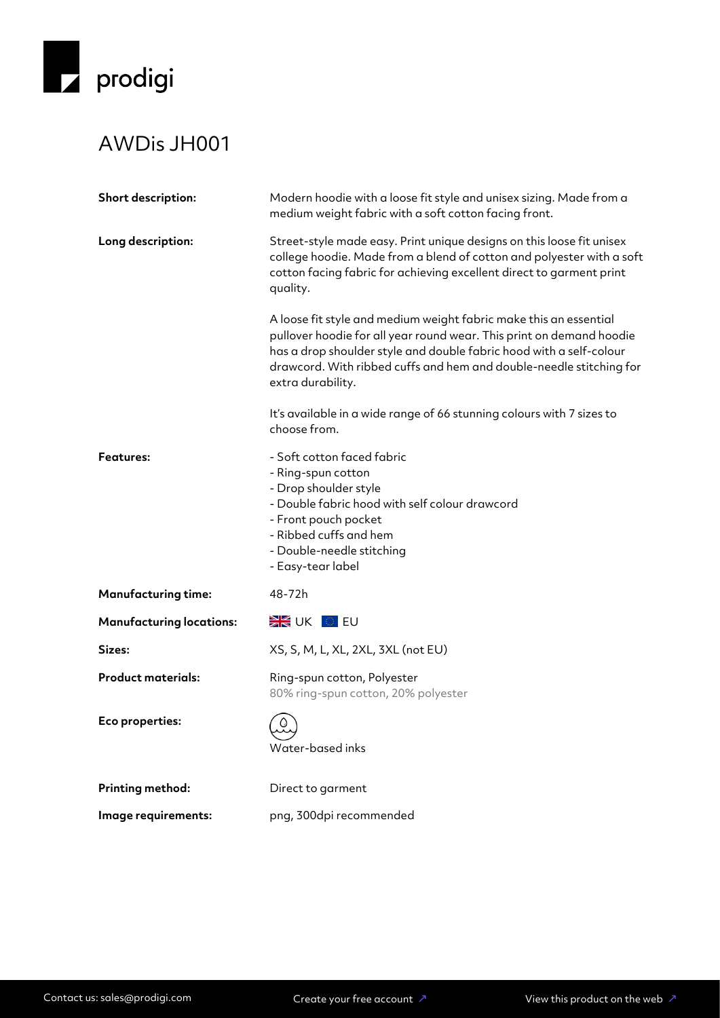

## AWDis JH001

| Short description:              | Modern hoodie with a loose fit style and unisex sizing. Made from a<br>medium weight fabric with a soft cotton facing front.                                                                                                                                                                                 |
|---------------------------------|--------------------------------------------------------------------------------------------------------------------------------------------------------------------------------------------------------------------------------------------------------------------------------------------------------------|
| Long description:               | Street-style made easy. Print unique designs on this loose fit unisex<br>college hoodie. Made from a blend of cotton and polyester with a soft<br>cotton facing fabric for achieving excellent direct to garment print<br>quality.                                                                           |
|                                 | A loose fit style and medium weight fabric make this an essential<br>pullover hoodie for all year round wear. This print on demand hoodie<br>has a drop shoulder style and double fabric hood with a self-colour<br>drawcord. With ribbed cuffs and hem and double-needle stitching for<br>extra durability. |
|                                 | It's available in a wide range of 66 stunning colours with 7 sizes to<br>choose from.                                                                                                                                                                                                                        |
| <b>Features:</b>                | - Soft cotton faced fabric<br>- Ring-spun cotton<br>- Drop shoulder style<br>- Double fabric hood with self colour drawcord<br>- Front pouch pocket<br>- Ribbed cuffs and hem<br>- Double-needle stitching<br>- Easy-tear label                                                                              |
| <b>Manufacturing time:</b>      | 48-72h                                                                                                                                                                                                                                                                                                       |
| <b>Manufacturing locations:</b> | <b>EXAMPLE DEAL</b>                                                                                                                                                                                                                                                                                          |
| Sizes:                          | XS, S, M, L, XL, 2XL, 3XL (not EU)                                                                                                                                                                                                                                                                           |
| <b>Product materials:</b>       | Ring-spun cotton, Polyester<br>80% ring-spun cotton, 20% polyester                                                                                                                                                                                                                                           |
| Eco properties:                 | $\circ$<br>Water-based inks                                                                                                                                                                                                                                                                                  |
| Printing method:                | Direct to garment                                                                                                                                                                                                                                                                                            |
| Image requirements:             | png, 300dpi recommended                                                                                                                                                                                                                                                                                      |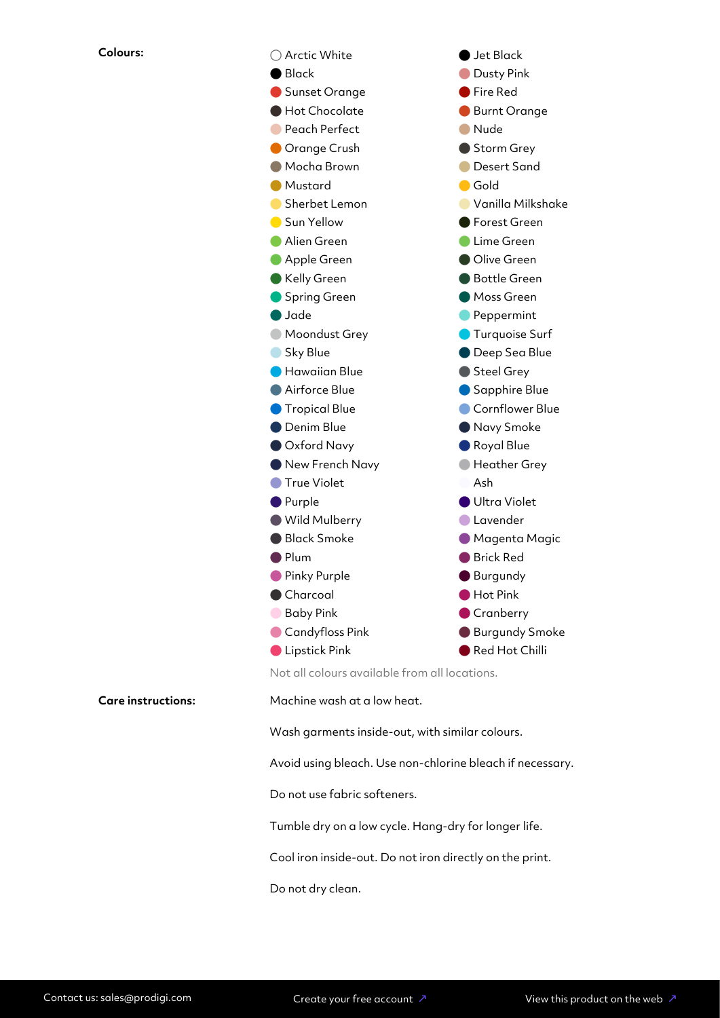

Not all colours available from all locations.

**Care instructions:** Machine wash at a low heat.

Wash garments inside-out, with similar colours.

Avoid using bleach. Use non-chlorine bleach if necessary.

Do not use fabric softeners.

Tumble dry on a low cycle. Hang-dry for longer life.

Cool iron inside-out. Do not iron directly on the print.

Do not dry clean.